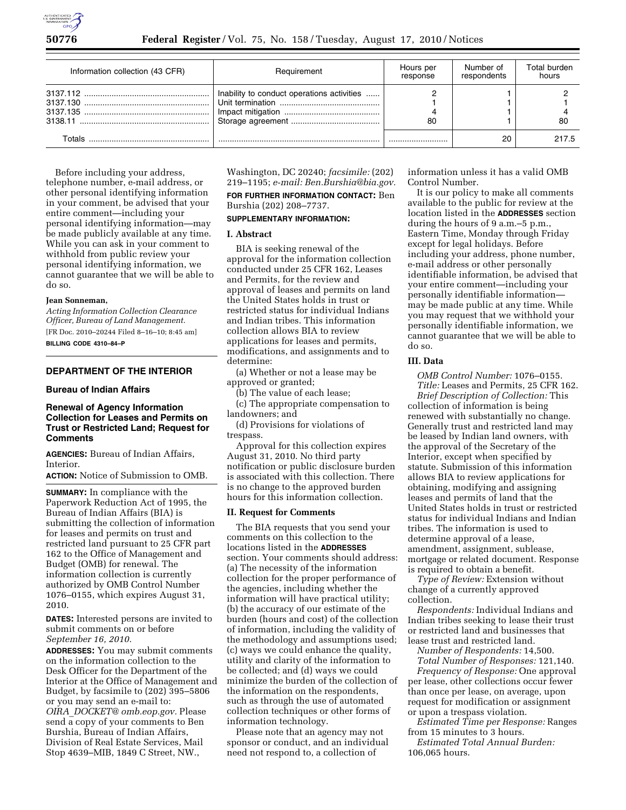

| Information collection (43 CFR) | Requirement                                | Hours per<br>response | Number of<br>respondents | Total burden<br>hours |
|---------------------------------|--------------------------------------------|-----------------------|--------------------------|-----------------------|
| 3138.11                         | Inability to conduct operations activities | 80                    |                          | -80                   |
| Totals                          |                                            |                       | 20                       | 217.5                 |

Before including your address, telephone number, e-mail address, or other personal identifying information in your comment, be advised that your entire comment—including your personal identifying information—may be made publicly available at any time. While you can ask in your comment to withhold from public review your personal identifying information, we cannot guarantee that we will be able to do so.

#### **Jean Sonneman,**

*Acting Information Collection Clearance Officer, Bureau of Land Management.*  [FR Doc. 2010–20244 Filed 8–16–10; 8:45 am]

**BILLING CODE 4310–84–P** 

# **DEPARTMENT OF THE INTERIOR**

## **Bureau of Indian Affairs**

### **Renewal of Agency Information Collection for Leases and Permits on Trust or Restricted Land; Request for Comments**

**AGENCIES:** Bureau of Indian Affairs, Interior.

**ACTION:** Notice of Submission to OMB.

**SUMMARY:** In compliance with the Paperwork Reduction Act of 1995, the Bureau of Indian Affairs (BIA) is submitting the collection of information for leases and permits on trust and restricted land pursuant to 25 CFR part 162 to the Office of Management and Budget (OMB) for renewal. The information collection is currently authorized by OMB Control Number 1076–0155, which expires August 31, 2010.

**DATES:** Interested persons are invited to submit comments on or before *September 16, 2010.* 

**ADDRESSES:** You may submit comments on the information collection to the Desk Officer for the Department of the Interior at the Office of Management and Budget, by facsimile to (202) 395–5806 or you may send an e-mail to: *OIRA*\_*[DOCKET@ omb.eop.gov.](mailto:OIRA_DOCKET@omb.eop.gov)* Please send a copy of your comments to Ben Burshia, Bureau of Indian Affairs, Division of Real Estate Services, Mail Stop 4639–MIB, 1849 C Street, NW.,

Washington, DC 20240; *facsimile:* (202) 219–1195; *e-mail: [Ben.Burshia@bia.gov.](mailto:Ben.Burshia@bia.gov)* 

**FOR FURTHER INFORMATION CONTACT:** Ben Burshia (202) 208–7737.

# **SUPPLEMENTARY INFORMATION:**

## **I. Abstract**

BIA is seeking renewal of the approval for the information collection conducted under 25 CFR 162, Leases and Permits, for the review and approval of leases and permits on land the United States holds in trust or restricted status for individual Indians and Indian tribes. This information collection allows BIA to review applications for leases and permits, modifications, and assignments and to determine:

(a) Whether or not a lease may be approved or granted;

(b) The value of each lease;

(c) The appropriate compensation to landowners; and (d) Provisions for violations of

trespass.

Approval for this collection expires August 31, 2010. No third party notification or public disclosure burden is associated with this collection. There is no change to the approved burden hours for this information collection.

#### **II. Request for Comments**

The BIA requests that you send your comments on this collection to the locations listed in the **ADDRESSES** section. Your comments should address: (a) The necessity of the information collection for the proper performance of the agencies, including whether the information will have practical utility; (b) the accuracy of our estimate of the burden (hours and cost) of the collection of information, including the validity of the methodology and assumptions used; (c) ways we could enhance the quality, utility and clarity of the information to be collected; and (d) ways we could minimize the burden of the collection of the information on the respondents, such as through the use of automated collection techniques or other forms of information technology.

Please note that an agency may not sponsor or conduct, and an individual need not respond to, a collection of

information unless it has a valid OMB Control Number.

It is our policy to make all comments available to the public for review at the location listed in the **ADDRESSES** section during the hours of 9 a.m.–5 p.m., Eastern Time, Monday through Friday except for legal holidays. Before including your address, phone number, e-mail address or other personally identifiable information, be advised that your entire comment—including your personally identifiable information may be made public at any time. While you may request that we withhold your personally identifiable information, we cannot guarantee that we will be able to do so.

#### **III. Data**

*OMB Control Number:* 1076–0155. *Title:* Leases and Permits, 25 CFR 162.

*Brief Description of Collection:* This collection of information is being renewed with substantially no change. Generally trust and restricted land may be leased by Indian land owners, with the approval of the Secretary of the Interior, except when specified by statute. Submission of this information allows BIA to review applications for obtaining, modifying and assigning leases and permits of land that the United States holds in trust or restricted status for individual Indians and Indian tribes. The information is used to determine approval of a lease, amendment, assignment, sublease, mortgage or related document. Response is required to obtain a benefit.

*Type of Review:* Extension without change of a currently approved collection.

*Respondents:* Individual Indians and Indian tribes seeking to lease their trust or restricted land and businesses that lease trust and restricted land.

*Number of Respondents:* 14,500. *Total Number of Responses:* 121,140. *Frequency of Response:* One approval per lease, other collections occur fewer than once per lease, on average, upon request for modification or assignment or upon a trespass violation.

*Estimated Time per Response:* Ranges from 15 minutes to 3 hours.

*Estimated Total Annual Burden:*  106,065 hours.